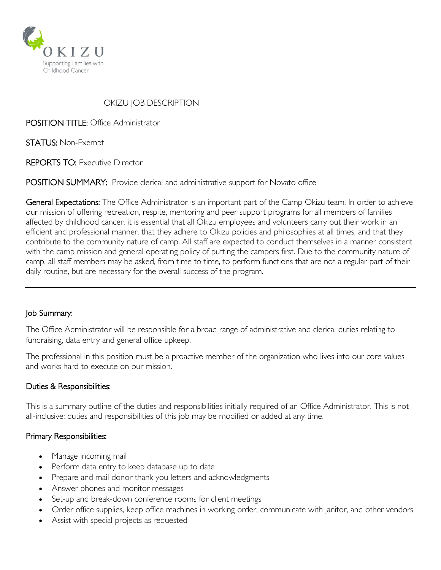

# OKIZU JOB DESCRIPTION

POSITION TITLE: Office Administrator

STATUS: Non-Exempt

REPORTS TO: Executive Director

POSITION SUMMARY: Provide clerical and administrative support for Novato office

General Expectations: The Office Administrator is an important part of the Camp Okizu team. In order to achieve our mission of offering recreation, respite, mentoring and peer support programs for all members of families affected by childhood cancer, it is essential that all Okizu employees and volunteers carry out their work in an efficient and professional manner, that they adhere to Okizu policies and philosophies at all times, and that they contribute to the community nature of camp. All staff are expected to conduct themselves in a manner consistent with the camp mission and general operating policy of putting the campers first. Due to the community nature of camp, all staff members may be asked, from time to time, to perform functions that are not a regular part of their daily routine, but are necessary for the overall success of the program.

# Job Summary:

The Office Administrator will be responsible for a broad range of administrative and clerical duties relating to fundraising, data entry and general office upkeep.

The professional in this position must be a proactive member of the organization who lives into our core values and works hard to execute on our mission.

#### Duties & Responsibilities:

This is a summary outline of the duties and responsibilities initially required of an Office Administrator. This is not all-inclusive; duties and responsibilities of this job may be modified or added at any time.

#### Primary Responsibilities:

- Manage incoming mail
- Perform data entry to keep database up to date
- Prepare and mail donor thank you letters and acknowledgments
- Answer phones and monitor messages
- Set-up and break-down conference rooms for client meetings
- Order office supplies, keep office machines in working order, communicate with janitor, and other vendors
- Assist with special projects as requested